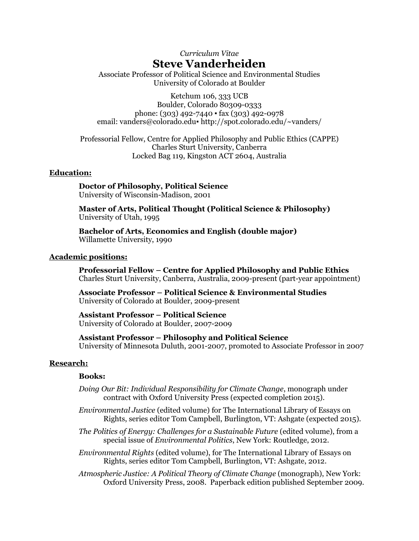# *Curriculum Vitae* **Steve Vanderheiden**

Associate Professor of Political Science and Environmental Studies University of Colorado at Boulder

Ketchum 106, 333 UCB Boulder, Colorado 80309-0333 phone: (303) 492-7440 ▪ fax (303) 492-0978 email: [vanders@colorado.edu](mailto:vanders@colorado.edu) • http://spot.colorado.edu/~vanders/

Professorial Fellow, Centre for Applied Philosophy and Public Ethics (CAPPE) Charles Sturt University, Canberra Locked Bag 119, Kingston ACT 2604, Australia

#### **Education:**

**Doctor of Philosophy, Political Science** University of Wisconsin-Madison, 2001

**Master of Arts, Political Thought (Political Science & Philosophy)** University of Utah, 1995

**Bachelor of Arts, Economics and English (double major)** Willamette University, 1990

## **Academic positions:**

**Professorial Fellow – Centre for Applied Philosophy and Public Ethics** Charles Sturt University, Canberra, Australia, 2009-present (part-year appointment)

**Associate Professor – Political Science & Environmental Studies** University of Colorado at Boulder, 2009-present

**Assistant Professor – Political Science** University of Colorado at Boulder, 2007-2009

**Assistant Professor – Philosophy and Political Science** University of Minnesota Duluth, 2001-2007, promoted to Associate Professor in 2007

#### **Research:**

#### **Books:**

*Doing Our Bit: Individual Responsibility for Climate Change*, monograph under contract with Oxford University Press (expected completion 2015).

*Environmental Justice* (edited volume) for The International Library of Essays on Rights, series editor Tom Campbell, Burlington, VT: Ashgate (expected 2015).

- *The Politics of Energy: Challenges for a Sustainable Future* (edited volume), from a special issue of *Environmental Politics*, New York: Routledge, 2012.
- *Environmental Rights* (edited volume), for The International Library of Essays on Rights, series editor Tom Campbell, Burlington, VT: Ashgate, 2012.

*Atmospheric Justice: A Political Theory of Climate Change* (monograph), New York: Oxford University Press, 2008. Paperback edition published September 2009.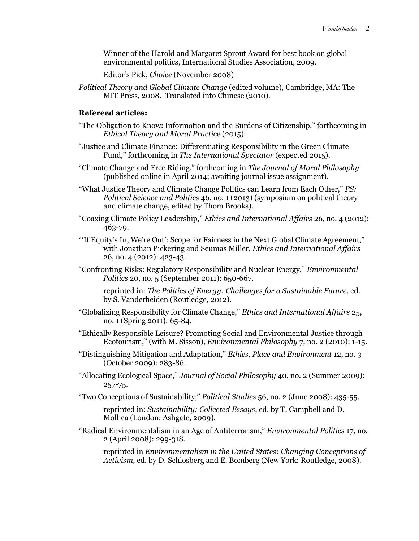Winner of the Harold and Margaret Sprout Award for best book on global environmental politics, International Studies Association, 2009.

Editor's Pick, *Choice* (November 2008)

*Political Theory and Global Climate Change* (edited volume), Cambridge, MA: The MIT Press, 2008. Translated into Chinese (2010).

# **Refereed articles:**

- "The Obligation to Know: Information and the Burdens of Citizenship," forthcoming in *Ethical Theory and Moral Practice* (2015).
- "Justice and Climate Finance: Differentiating Responsibility in the Green Climate Fund," forthcoming in *The International Spectator* (expected 2015).
- "Climate Change and Free Riding," forthcoming in *The Journal of Moral Philosophy* (published online in April 2014; awaiting journal issue assignment).
- "What Justice Theory and Climate Change Politics can Learn from Each Other," *PS: Political Science and Politics* 46, no. 1 (2013) (symposium on political theory and climate change, edited by Thom Brooks).
- "Coaxing Climate Policy Leadership," *Ethics and International Affairs* 26, no. 4 (2012): 463-79.
- "'If Equity's In, We're Out': Scope for Fairness in the Next Global Climate Agreement," with Jonathan Pickering and Seumas Miller, *Ethics and International Affairs* 26, no. 4 (2012): 423-43.
- "Confronting Risks: Regulatory Responsibility and Nuclear Energy," *Environmental Politics* 20, no. 5 (September 2011): 650-667.

reprinted in: *The Politics of Energy: Challenges for a Sustainable Future*, ed. by S. Vanderheiden (Routledge, 2012).

- "Globalizing Responsibility for Climate Change," *Ethics and International Affairs* 25, no. 1 (Spring 2011): 65-84.
- "Ethically Responsible Leisure? Promoting Social and Environmental Justice through Ecotourism," (with M. Sisson), *Environmental Philosophy* 7, no. 2 (2010): 1-15.
- "Distinguishing Mitigation and Adaptation," *Ethics, Place and Environment* 12, no. 3 (October 2009): 283-86.
- "Allocating Ecological Space," *Journal of Social Philosophy* 40, no. 2 (Summer 2009): 257-75.
- "Two Conceptions of Sustainability," *Political Studies* 56, no. 2 (June 2008): 435-55.

reprinted in: *Sustainability: Collected Essays*, ed. by T. Campbell and D. Mollica (London: Ashgate, 2009).

"Radical Environmentalism in an Age of Antiterrorism," *Environmental Politics* 17, no. 2 (April 2008): 299-318.

reprinted in *Environmentalism in the United States: Changing Conceptions of Activism*, ed. by D. Schlosberg and E. Bomberg (New York: Routledge, 2008).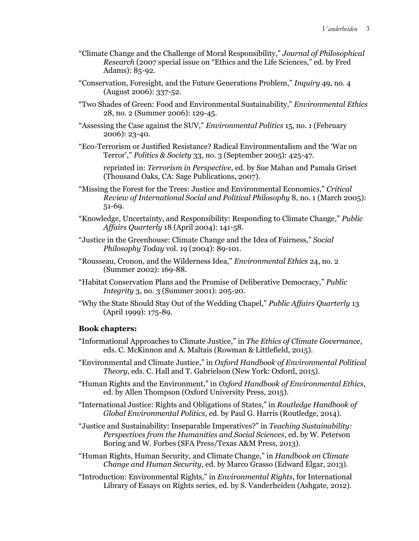- "Climate Change and the Challenge of Moral Responsibility," *Journal of Philosophical Research* (2007 special issue on "Ethics and the Life Sciences," ed. by Fred Adams): 85-92.
- "Conservation, Foresight, and the Future Generations Problem," *Inquiry* 49, no. 4 (August 2006): 337-52.
- "Two Shades of Green: Food and Environmental Sustainability," *Environmental Ethics* 28, no. 2 (Summer 2006): 129-45.
- "Assessing the Case against the SUV," *Environmental Politics* 15, no. 1 (February 2006): 23-40.
- "Eco-Terrorism or Justified Resistance? Radical Environmentalism and the 'War on Terror'," *Politics & Society* 33, no. 3 (September 2005): 425-47.

reprinted in: *Terrorism in Perspective*, ed. by Sue Mahan and Pamala Griset (Thousand Oaks, CA: Sage Publications, 2007).

- "Missing the Forest for the Trees: Justice and Environmental Economics," *Critical Review of International Social and Political Philosophy* 8, no. 1 (March 2005): 51-69.
- "Knowledge, Uncertainty, and Responsibility: Responding to Climate Change," *Public Affairs Quarterly* 18 (April 2004): 141-58.
- "Justice in the Greenhouse: Climate Change and the Idea of Fairness," *Social Philosophy Today* vol. 19 (2004): 89-101*.*
- "Rousseau, Cronon, and the Wilderness Idea," *Environmental Ethics* 24, no. 2 (Summer 2002): 169-88*.*
- "Habitat Conservation Plans and the Promise of Deliberative Democracy," *Public Integrity* 3, no. 3 (Summer 2001): 205-20.
- "Why the State Should Stay Out of the Wedding Chapel," *Public Affairs Quarterly* 13 (April 1999): 175-89.

# **Book chapters:**

- "Informational Approaches to Climate Justice," in *The Ethics of Climate Governance*, eds. C. McKinnon and A. Maltais (Rowman & Littlefield, 2015).
- "Environmental and Climate Justice," in *Oxford Handbook of Environmental Political Theory*, eds. C. Hall and T. Gabrielson (New York: Oxford, 2015).
- "Human Rights and the Environment," in *Oxford Handbook of Environmental Ethics*, ed. by Allen Thompson (Oxford University Press, 2015).
- "International Justice: Rights and Obligations of States," in *Routledge Handbook of Global Environmental Politics*, ed. by Paul G. Harris (Routledge, 2014).
- "Justice and Sustainability: Inseparable Imperatives?" in *Teaching Sustainability: Perspectives from the Humanities and Social Sciences*, ed. by W. Peterson Boring and W. Forbes (SFA Press/Texas A&M Press, 2013).
- "Human Rights, Human Security, and Climate Change," in *Handbook on Climate Change and Human Security*, ed. by Marco Grasso (Edward Elgar, 2013).
- "Introduction: Environmental Rights," in *Environmental Rights*, for International Library of Essays on Rights series, ed. by S. Vanderheiden (Ashgate, 2012).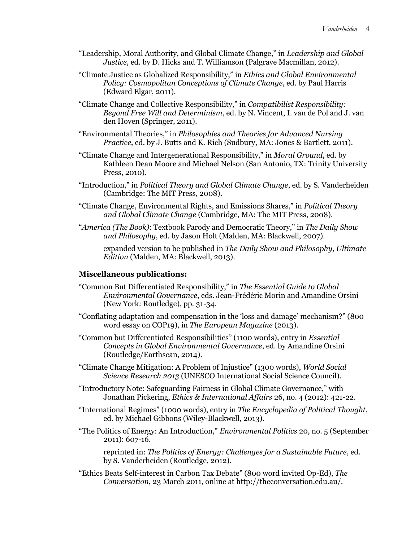- "Leadership, Moral Authority, and Global Climate Change," in *Leadership and Global Justice*, ed. by D. Hicks and T. Williamson (Palgrave Macmillan, 2012).
- "Climate Justice as Globalized Responsibility," in *Ethics and Global Environmental Policy: Cosmopolitan Conceptions of Climate Change*, ed. by Paul Harris (Edward Elgar, 2011).
- "Climate Change and Collective Responsibility," in *Compatibilist Responsibility: Beyond Free Will and Determinism*, ed. by N. Vincent, I. van de Pol and J. van den Hoven (Springer, 2011).
- "Environmental Theories," in *Philosophies and Theories for Advanced Nursing Practice*, ed. by J. Butts and K. Rich (Sudbury, MA: Jones & Bartlett, 2011).
- "Climate Change and Intergenerational Responsibility," in *Moral Ground*, ed. by Kathleen Dean Moore and Michael Nelson (San Antonio, TX: Trinity University Press, 2010).
- "Introduction," in *Political Theory and Global Climate Change*, ed. by S. Vanderheiden (Cambridge: The MIT Press, 2008).
- "Climate Change, Environmental Rights, and Emissions Shares," in *Political Theory and Global Climate Change* (Cambridge, MA: The MIT Press, 2008).
- "*America (The Book)*: Textbook Parody and Democratic Theory," in *The Daily Show and Philosophy*, ed. by Jason Holt (Malden, MA: Blackwell, 2007).

expanded version to be published in *The Daily Show and Philosophy, Ultimate Edition* (Malden, MA: Blackwell, 2013).

## **Miscellaneous publications:**

- "Common But Differentiated Responsibility," in *The Essential Guide to Global Environmental Governance*, eds. Jean-Frédéric Morin and Amandine Orsini (New York: Routledge), pp. 31-34.
- "Conflating adaptation and compensation in the 'loss and damage' mechanism?" (800 word essay on COP19), in *The European Magazine* (2013).
- "Common but Differentiated Responsibilities" (1100 words), entry in *Essential Concepts in Global Environmental Governance*, ed. by Amandine Orsini (Routledge/Earthscan, 2014).
- "Climate Change Mitigation: A Problem of Injustice" (1300 words), *World Social Science Research 2013* (UNESCO International Social Science Council).
- "Introductory Note: Safeguarding Fairness in Global Climate Governance," with Jonathan Pickering, *Ethics & International Affairs* 26, no. 4 (2012): 421-22.
- "International Regimes" (1000 words), entry in *The Encyclopedia of Political Thought*, ed. by Michael Gibbons (Wiley-Blackwell, 2013).
- "The Politics of Energy: An Introduction," *Environmental Politics* 20, no. 5 (September 2011): 607-16.

reprinted in: *The Politics of Energy: Challenges for a Sustainable Future*, ed. by S. Vanderheiden (Routledge, 2012).

"Ethics Beats Self-interest in Carbon Tax Debate" (800 word invited Op-Ed), *The Conversation*, 23 March 2011, online at http://theconversation.edu.au/.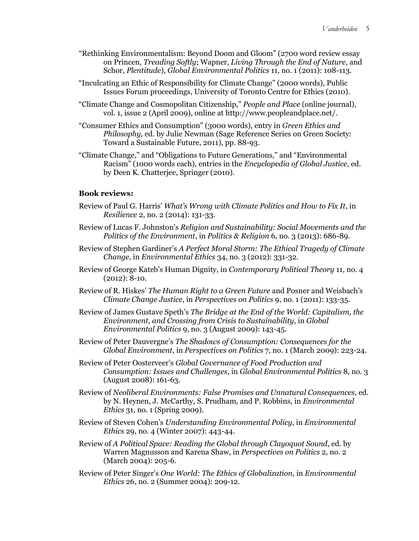- "Rethinking Environmentalism: Beyond Doom and Gloom" (2700 word review essay on Princen, *Treading Softly*; Wapner, *Living Through the End of Nature*, and Schor, *Plentitude*), *Global Environmental Politics* 11, no. 1 (2011): 108-113.
- "Inculcating an Ethic of Responsibility for Climate Change" (2000 words), Public Issues Forum proceedings, University of Toronto Centre for Ethics (2010).
- "Climate Change and Cosmopolitan Citizenship," *People and Place* (online journal), vol. 1, issue 2 (April 2009), online at http://www.peopleandplace.net/.
- "Consumer Ethics and Consumption" (3000 words), entry in *Green Ethics and Philosophy, ed. by Julie Newman (Sage Reference Series on Green Society:* Toward a Sustainable Future, 2011), pp. 88-93.
- "Climate Change," and "Obligations to Future Generations," and "Environmental Racism" (1000 words each), entries in the *Encyclopedia of Global Justice*, ed. by Deen K. Chatterjee, Springer (2010).

#### **Book reviews:**

- Review of Paul G. Harris' *What's Wrong with Climate Politics and How to Fix It*, in *Resilience* 2, no. 2 (2014): 131-33.
- Review of Lucas F. Johnston's *Religion and Sustainability: Social Movements and the Politics of the Environment*, in *Politics & Religion* 6, no. 3 (2013): 686-89.
- Review of Stephen Gardiner's *A Perfect Moral Storm: The Ethical Tragedy of Climate Change*, in *Environmental Ethics* 34, no. 3 (2012): 331-32.
- Review of George Kateb's Human Dignity, in *Contemporary Political Theory* 11, no. 4 (2012): 8-10.
- Review of R. Hiskes' *The Human Right to a Green Future* and Posner and Weisbach's *Climate Change Justice*, in *Perspectives on Politics* 9, no. 1 (2011): 133-35.
- Review of James Gustave Speth's *The Bridge at the End of the World: Capitalism, the Environment, and Crossing from Crisis to Sustainability*, in *Global Environmental Politics* 9, no. 3 (August 2009): 143-45.
- Review of Peter Dauvergne's *The Shadows of Consumption: Consequences for the Global Environment*, in *Perspectives on Politics* 7, no. 1 (March 2009): 223-24.
- Review of Peter Oosterveer's *Global Governance of Food Production and Consumption: Issues and Challenges*, in *Global Environmental Politics* 8, no. 3 (August 2008): 161-63.
- Review of *Neoliberal Environments: False Promises and Unnatural Consequences*, ed. by N. Heynen, J. McCarthy, S. Prudham, and P. Robbins, in *Environmental Ethics* 31, no. 1 (Spring 2009).
- Review of Steven Cohen's *Understanding Environmental Policy*, in *Environmental Ethics* 29, no. 4 (Winter 2007): 443-44.
- Review of *A Political Space: Reading the Global through Clayoquot Sound*, ed. by Warren Magnusson and Karena Shaw, in *Perspectives on Politics* 2, no. 2 (March 2004): 205-6.
- Review of Peter Singer's *One World: The Ethics of Globalization*, in *Environmental Ethics* 26, no. 2 (Summer 2004): 209-12.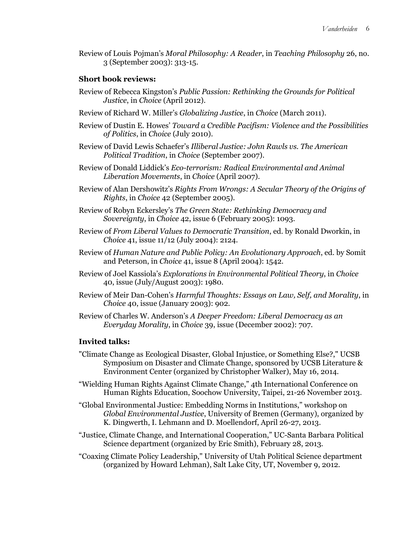Review of Louis Pojman's *Moral Philosophy: A Reader*, in *Teaching Philosophy* 26, no. 3 (September 2003): 313-15.

### **Short book reviews:**

- Review of Rebecca Kingston's *Public Passion: Rethinking the Grounds for Political Justice*, in *Choice* (April 2012).
- Review of Richard W. Miller's *Globalizing Justice*, in *Choice* (March 2011).
- Review of Dustin E. Howes' *Toward a Credible Pacifism: Violence and the Possibilities of Politics*, in *Choice* (July 2010).
- Review of David Lewis Schaefer's *Illiberal Justice: John Rawls vs. The American Political Tradition*, in *Choice* (September 2007).
- Review of Donald Liddick's *Eco-terrorism: Radical Environmental and Animal Liberation Movements*, in *Choice* (April 2007).
- Review of Alan Dershowitz's *Rights From Wrongs: A Secular Theory of the Origins of Rights*, in *Choice* 42 (September 2005).
- Review of Robyn Eckersley's *The Green State: Rethinking Democracy and Sovereignty*, in *Choice* 42, issue 6 (February 2005): 1093.
- Review of *From Liberal Values to Democratic Transition*, ed. by Ronald Dworkin, in *Choice* 41, issue 11/12 (July 2004): 2124.
- Review of *Human Nature and Public Policy: An Evolutionary Approach*, ed. by Somit and Peterson, in *Choice* 41, issue 8 (April 2004): 1542.
- Review of Joel Kassiola's *Explorations in Environmental Political Theory*, in *Choice* 40, issue (July/August 2003): 1980.
- Review of Meir Dan-Cohen's *Harmful Thoughts: Essays on Law, Self, and Morality*, in *Choice* 40, issue (January 2003): 902.
- Review of Charles W. Anderson's *A Deeper Freedom: Liberal Democracy as an Everyday Morality*, in *Choice* 39, issue (December 2002): 707.

#### **Invited talks:**

- "Climate Change as Ecological Disaster, Global Injustice, or Something Else?," UCSB Symposium on Disaster and Climate Change, sponsored by UCSB Literature & Environment Center (organized by Christopher Walker), May 16, 2014.
- "Wielding Human Rights Against Climate Change," 4th International Conference on Human Rights Education, Soochow University, Taipei, 21-26 November 2013.
- "Global Environmental Justice: Embedding Norms in Institutions," workshop on *Global Environmental Justice*, University of Bremen (Germany), organized by K. Dingwerth, I. Lehmann and D. Moellendorf, April 26-27, 2013.
- "Justice, Climate Change, and International Cooperation," UC-Santa Barbara Political Science department (organized by Eric Smith), February 28, 2013.
- "Coaxing Climate Policy Leadership," University of Utah Political Science department (organized by Howard Lehman), Salt Lake City, UT, November 9, 2012.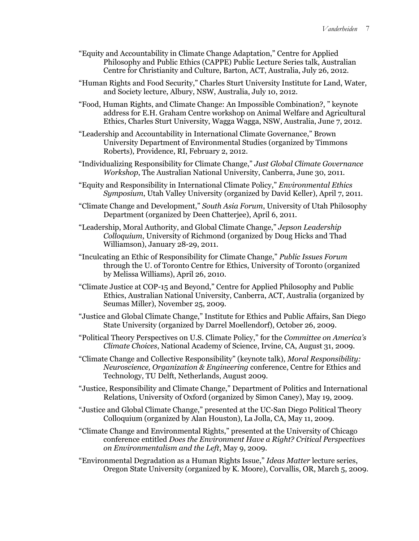- "Equity and Accountability in Climate Change Adaptation," Centre for Applied Philosophy and Public Ethics (CAPPE) Public Lecture Series talk, Australian Centre for Christianity and Culture, Barton, ACT, Australia, July 26, 2012.
- "Human Rights and Food Security," Charles Sturt University Institute for Land, Water, and Society lecture, Albury, NSW, Australia, July 10, 2012.
- "Food, Human Rights, and Climate Change: An Impossible Combination?, " keynote address for E.H. Graham Centre workshop on Animal Welfare and Agricultural Ethics, Charles Sturt University, Wagga Wagga, NSW, Australia, June 7, 2012.
- "Leadership and Accountability in International Climate Governance," Brown University Department of Environmental Studies (organized by Timmons Roberts), Providence, RI, February 2, 2012.
- "Individualizing Responsibility for Climate Change," *Just Global Climate Governance Workshop*, The Australian National University, Canberra, June 30, 2011.
- "Equity and Responsibility in International Climate Policy," *Environmental Ethics Symposium*, Utah Valley University (organized by David Keller), April 7, 2011.
- "Climate Change and Development," *South Asia Forum*, University of Utah Philosophy Department (organized by Deen Chatterjee), April 6, 2011.
- "Leadership, Moral Authority, and Global Climate Change," *Jepson Leadership Colloquium*, University of Richmond (organized by Doug Hicks and Thad Williamson), January 28-29, 2011.
- "Inculcating an Ethic of Responsibility for Climate Change," *Public Issues Forum* through the U. of Toronto Centre for Ethics, University of Toronto (organized by Melissa Williams), April 26, 2010.
- "Climate Justice at COP-15 and Beyond," Centre for Applied Philosophy and Public Ethics, Australian National University, Canberra, ACT, Australia (organized by Seumas Miller), November 25, 2009.
- "Justice and Global Climate Change," Institute for Ethics and Public Affairs, San Diego State University (organized by Darrel Moellendorf), October 26, 2009.
- "Political Theory Perspectives on U.S. Climate Policy," for the *Committee on America's Climate Choices*, National Academy of Science, Irvine, CA, August 31, 2009.
- "Climate Change and Collective Responsibility" (keynote talk), *Moral Responsibility: Neuroscience, Organization & Engineering* conference, Centre for Ethics and Technology, TU Delft, Netherlands, August 2009.
- "Justice, Responsibility and Climate Change," Department of Politics and International Relations, University of Oxford (organized by Simon Caney), May 19, 2009.
- "Justice and Global Climate Change," presented at the UC-San Diego Political Theory Colloquium (organized by Alan Houston), La Jolla, CA, May 11, 2009.
- "Climate Change and Environmental Rights," presented at the University of Chicago conference entitled *Does the Environment Have a Right? Critical Perspectives on Environmentalism and the Left*, May 9, 2009.
- "Environmental Degradation as a Human Rights Issue," *Ideas Matter* lecture series, Oregon State University (organized by K. Moore), Corvallis, OR, March 5, 2009.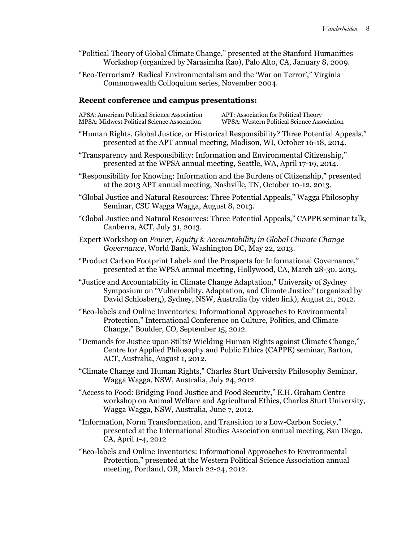- "Political Theory of Global Climate Change," presented at the Stanford Humanities Workshop (organized by Narasimha Rao), Palo Alto, CA, January 8, 2009.
- "Eco-Terrorism? Radical Environmentalism and the 'War on Terror'," Virginia Commonwealth Colloquium series, November 2004.

#### **Recent conference and campus presentations:**

| APSA: American Political Science Association       | APT: |
|----------------------------------------------------|------|
| <b>MPSA: Midwest Political Science Association</b> | WPS  |
|                                                    |      |

Association for Political Theory A: Western Political Science Association

- "Human Rights, Global Justice, or Historical Responsibility? Three Potential Appeals," presented at the APT annual meeting, Madison, WI, October 16-18, 2014.
- "Transparency and Responsibility: Information and Environmental Citizenship," presented at the WPSA annual meeting, Seattle, WA, April 17-19, 2014.
- "Responsibility for Knowing: Information and the Burdens of Citizenship," presented at the 2013 APT annual meeting, Nashville, TN, October 10-12, 2013.
- "Global Justice and Natural Resources: Three Potential Appeals," Wagga Philosophy Seminar, CSU Wagga Wagga, August 8, 2013.
- "Global Justice and Natural Resources: Three Potential Appeals," CAPPE seminar talk, Canberra, ACT, July 31, 2013.
- Expert Workshop on *Power, Equity & Accountability in Global Climate Change Governance*, World Bank, Washington DC, May 22, 2013.
- "Product Carbon Footprint Labels and the Prospects for Informational Governance," presented at the WPSA annual meeting, Hollywood, CA, March 28-30, 2013.
- "Justice and Accountability in Climate Change Adaptation," University of Sydney Symposium on "Vulnerability, Adaptation, and Climate Justice" (organized by David Schlosberg), Sydney, NSW, Australia (by video link), August 21, 2012.
- "Eco-labels and Online Inventories: Informational Approaches to Environmental Protection," International Conference on Culture, Politics, and Climate Change," Boulder, CO, September 15, 2012.
- "Demands for Justice upon Stilts? Wielding Human Rights against Climate Change," Centre for Applied Philosophy and Public Ethics (CAPPE) seminar, Barton, ACT, Australia, August 1, 2012.
- "Climate Change and Human Rights," Charles Sturt University Philosophy Seminar, Wagga Wagga, NSW, Australia, July 24, 2012.
- "Access to Food: Bridging Food Justice and Food Security," E.H. Graham Centre workshop on Animal Welfare and Agricultural Ethics, Charles Sturt University, Wagga Wagga, NSW, Australia, June 7, 2012.
- "Information, Norm Transformation, and Transition to a Low-Carbon Society," presented at the International Studies Association annual meeting, San Diego, CA, April 1-4, 2012
- "Eco-labels and Online Inventories: Informational Approaches to Environmental Protection," presented at the Western Political Science Association annual meeting, Portland, OR, March 22-24, 2012.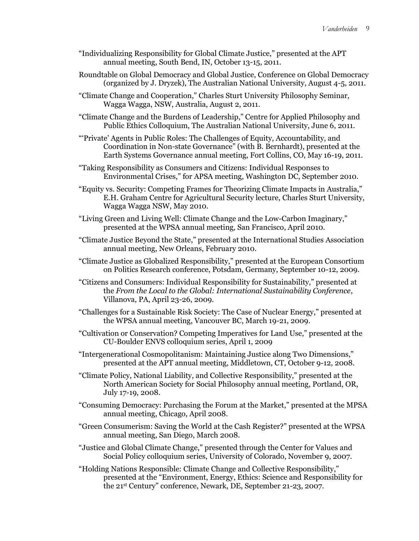- "Individualizing Responsibility for Global Climate Justice," presented at the APT annual meeting, South Bend, IN, October 13-15, 2011.
- Roundtable on Global Democracy and Global Justice, Conference on Global Democracy (organized by J. Dryzek), The Australian National University, August 4-5, 2011.
- "Climate Change and Cooperation," Charles Sturt University Philosophy Seminar, Wagga Wagga, NSW, Australia, August 2, 2011.
- "Climate Change and the Burdens of Leadership," Centre for Applied Philosophy and Public Ethics Colloquium, The Australian National University, June 6, 2011.
- "'Private' Agents in Public Roles: The Challenges of Equity, Accountability, and Coordination in Non-state Governance" (with B. Bernhardt), presented at the Earth Systems Governance annual meeting, Fort Collins, CO, May 16-19, 2011.
- "Taking Responsibility as Consumers and Citizens: Individual Responses to Environmental Crises," for APSA meeting, Washington DC, September 2010.
- "Equity vs. Security: Competing Frames for Theorizing Climate Impacts in Australia," E.H. Graham Centre for Agricultural Security lecture, Charles Sturt University, Wagga Wagga NSW, May 2010.
- "Living Green and Living Well: Climate Change and the Low-Carbon Imaginary," presented at the WPSA annual meeting, San Francisco, April 2010.
- "Climate Justice Beyond the State," presented at the International Studies Association annual meeting, New Orleans, February 2010.
- "Climate Justice as Globalized Responsibility," presented at the European Consortium on Politics Research conference, Potsdam, Germany, September 10-12, 2009.
- "Citizens and Consumers: Individual Responsibility for Sustainability," presented at the *From the Local to the Global: International Sustainability Conference*, Villanova, PA, April 23-26, 2009.
- "Challenges for a Sustainable Risk Society: The Case of Nuclear Energy," presented at the WPSA annual meeting, Vancouver BC, March 19-21, 2009.
- "Cultivation or Conservation? Competing Imperatives for Land Use," presented at the CU-Boulder ENVS colloquium series, April 1, 2009
- "Intergenerational Cosmopolitanism: Maintaining Justice along Two Dimensions," presented at the APT annual meeting, Middletown, CT, October 9-12, 2008.
- "Climate Policy, National Liability, and Collective Responsibility," presented at the North American Society for Social Philosophy annual meeting, Portland, OR, July 17-19, 2008.
- "Consuming Democracy: Purchasing the Forum at the Market," presented at the MPSA annual meeting, Chicago, April 2008.
- "Green Consumerism: Saving the World at the Cash Register?" presented at the WPSA annual meeting, San Diego, March 2008.
- "Justice and Global Climate Change," presented through the Center for Values and Social Policy colloquium series, University of Colorado, November 9, 2007.
- "Holding Nations Responsible: Climate Change and Collective Responsibility," presented at the "Environment, Energy, Ethics: Science and Responsibility for the 21st Century" conference, Newark, DE, September 21-23, 2007.